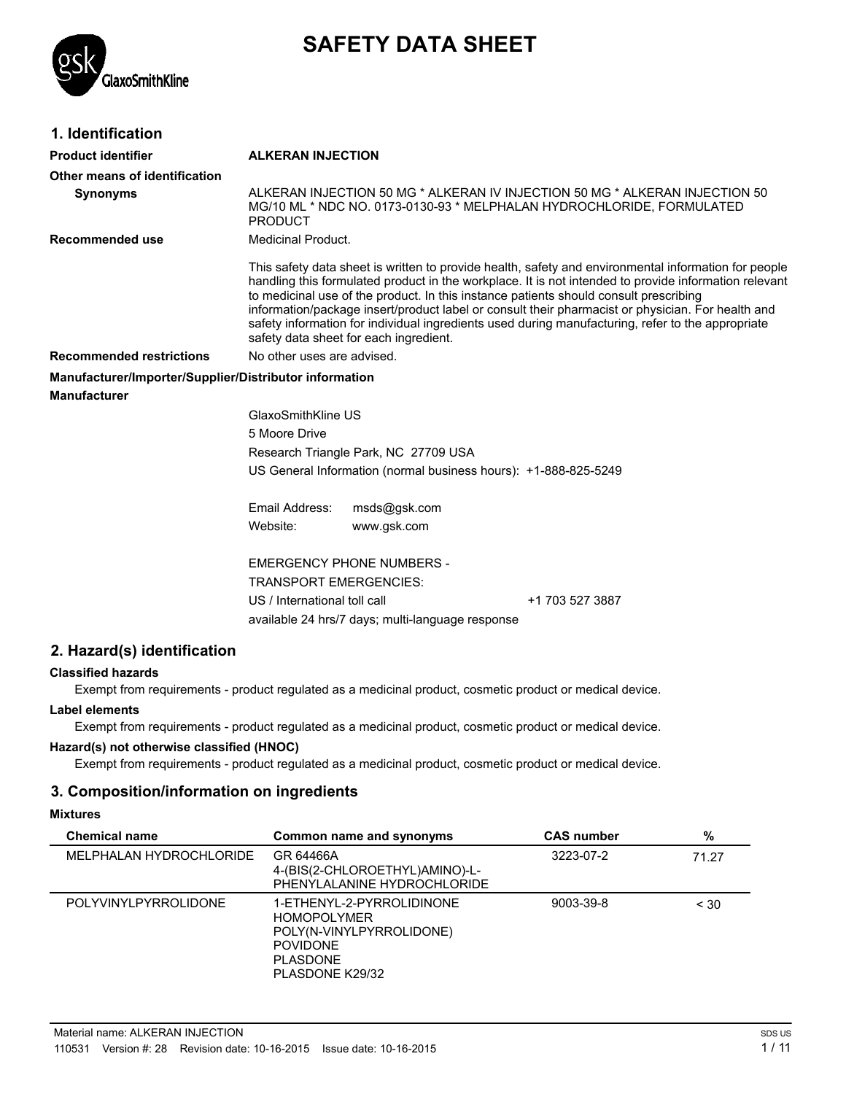

# **SAFETY DATA SHEET**

| 1. Identification                                      |                                                                                                         |                                                  |                                                                                                                                                                                                                                                                                                                                                                                                                                                                                                                  |
|--------------------------------------------------------|---------------------------------------------------------------------------------------------------------|--------------------------------------------------|------------------------------------------------------------------------------------------------------------------------------------------------------------------------------------------------------------------------------------------------------------------------------------------------------------------------------------------------------------------------------------------------------------------------------------------------------------------------------------------------------------------|
| <b>Product identifier</b>                              | <b>ALKERAN INJECTION</b>                                                                                |                                                  |                                                                                                                                                                                                                                                                                                                                                                                                                                                                                                                  |
| Other means of identification                          |                                                                                                         |                                                  |                                                                                                                                                                                                                                                                                                                                                                                                                                                                                                                  |
| <b>Synonyms</b>                                        | <b>PRODUCT</b>                                                                                          |                                                  | ALKERAN INJECTION 50 MG * ALKERAN IV INJECTION 50 MG * ALKERAN INJECTION 50<br>MG/10 ML * NDC NO. 0173-0130-93 * MELPHALAN HYDROCHLORIDE, FORMULATED                                                                                                                                                                                                                                                                                                                                                             |
| <b>Recommended use</b>                                 | <b>Medicinal Product.</b>                                                                               |                                                  |                                                                                                                                                                                                                                                                                                                                                                                                                                                                                                                  |
|                                                        |                                                                                                         | safety data sheet for each ingredient.           | This safety data sheet is written to provide health, safety and environmental information for people<br>handling this formulated product in the workplace. It is not intended to provide information relevant<br>to medicinal use of the product. In this instance patients should consult prescribing<br>information/package insert/product label or consult their pharmacist or physician. For health and<br>safety information for individual ingredients used during manufacturing, refer to the appropriate |
| <b>Recommended restrictions</b>                        | No other uses are advised.                                                                              |                                                  |                                                                                                                                                                                                                                                                                                                                                                                                                                                                                                                  |
| Manufacturer/Importer/Supplier/Distributor information |                                                                                                         |                                                  |                                                                                                                                                                                                                                                                                                                                                                                                                                                                                                                  |
| <b>Manufacturer</b>                                    |                                                                                                         |                                                  |                                                                                                                                                                                                                                                                                                                                                                                                                                                                                                                  |
|                                                        | GlaxoSmithKline US                                                                                      |                                                  |                                                                                                                                                                                                                                                                                                                                                                                                                                                                                                                  |
|                                                        | 5 Moore Drive                                                                                           |                                                  |                                                                                                                                                                                                                                                                                                                                                                                                                                                                                                                  |
|                                                        | Research Triangle Park, NC 27709 USA<br>US General Information (normal business hours): +1-888-825-5249 |                                                  |                                                                                                                                                                                                                                                                                                                                                                                                                                                                                                                  |
|                                                        |                                                                                                         |                                                  |                                                                                                                                                                                                                                                                                                                                                                                                                                                                                                                  |
|                                                        | Email Address:                                                                                          | msds@gsk.com                                     |                                                                                                                                                                                                                                                                                                                                                                                                                                                                                                                  |
|                                                        | Website:                                                                                                | www.gsk.com                                      |                                                                                                                                                                                                                                                                                                                                                                                                                                                                                                                  |
|                                                        |                                                                                                         | <b>EMERGENCY PHONE NUMBERS -</b>                 |                                                                                                                                                                                                                                                                                                                                                                                                                                                                                                                  |
|                                                        | <b>TRANSPORT EMERGENCIES:</b>                                                                           |                                                  |                                                                                                                                                                                                                                                                                                                                                                                                                                                                                                                  |
|                                                        | US / International toll call                                                                            |                                                  | +1 703 527 3887                                                                                                                                                                                                                                                                                                                                                                                                                                                                                                  |
|                                                        |                                                                                                         | available 24 hrs/7 days; multi-language response |                                                                                                                                                                                                                                                                                                                                                                                                                                                                                                                  |
| 2. Hazard(s) identification                            |                                                                                                         |                                                  |                                                                                                                                                                                                                                                                                                                                                                                                                                                                                                                  |
| <b>Classified hazards</b>                              |                                                                                                         |                                                  |                                                                                                                                                                                                                                                                                                                                                                                                                                                                                                                  |
|                                                        |                                                                                                         |                                                  |                                                                                                                                                                                                                                                                                                                                                                                                                                                                                                                  |

Exempt from requirements - product regulated as a medicinal product, cosmetic product or medical device.

### **Label elements**

Exempt from requirements - product regulated as a medicinal product, cosmetic product or medical device.

### **Hazard(s) not otherwise classified (HNOC)**

Exempt from requirements - product regulated as a medicinal product, cosmetic product or medical device.

## **3. Composition/information on ingredients**

### **Mixtures**

| <b>Chemical name</b>        | Common name and synonyms                                                                                                             | <b>CAS number</b> | %     |
|-----------------------------|--------------------------------------------------------------------------------------------------------------------------------------|-------------------|-------|
| MELPHALAN HYDROCHLORIDE     | GR 64466A<br>4-(BIS(2-CHLOROETHYL)AMINO)-L-<br>PHENYLALANINE HYDROCHLORIDE                                                           | 3223-07-2         | 71.27 |
| <b>POLYVINYLPYRROLIDONE</b> | 1-ETHENYL-2-PYRROLIDINONE<br><b>HOMOPOLYMER</b><br>POLY(N-VINYLPYRROLIDONE)<br><b>POVIDONE</b><br><b>PLASDONE</b><br>PLASDONE K29/32 | 9003-39-8         | < 30  |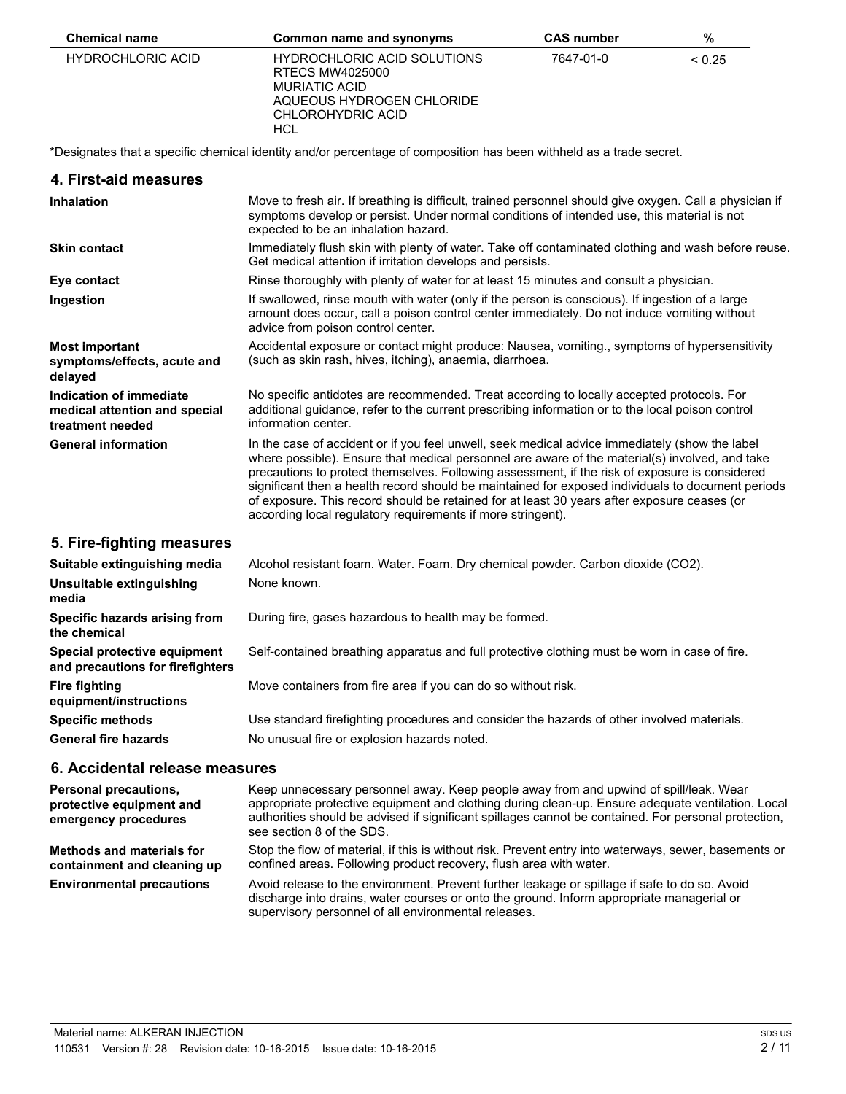| <b>Chemical name</b>     | Common name and synonyms                                                                                                 | <b>CAS number</b> | %      |
|--------------------------|--------------------------------------------------------------------------------------------------------------------------|-------------------|--------|
| <b>HYDROCHLORIC ACID</b> | HYDROCHLORIC ACID SOLUTIONS<br>RTECS MW4025000<br>MURIATIC ACID<br>AQUEOUS HYDROGEN CHLORIDE<br>CHLOROHYDRIC ACID<br>HCL | 7647-01-0         | < 0.25 |

\*Designates that a specific chemical identity and/or percentage of composition has been withheld as a trade secret.

#### **4. First-aid measures**

| <b>Inhalation</b>                                                            | Move to fresh air. If breathing is difficult, trained personnel should give oxygen. Call a physician if<br>symptoms develop or persist. Under normal conditions of intended use, this material is not<br>expected to be an inhalation hazard.                                                                                                                                                                                                                                                                                                                         |
|------------------------------------------------------------------------------|-----------------------------------------------------------------------------------------------------------------------------------------------------------------------------------------------------------------------------------------------------------------------------------------------------------------------------------------------------------------------------------------------------------------------------------------------------------------------------------------------------------------------------------------------------------------------|
| <b>Skin contact</b>                                                          | Immediately flush skin with plenty of water. Take off contaminated clothing and wash before reuse.<br>Get medical attention if irritation develops and persists.                                                                                                                                                                                                                                                                                                                                                                                                      |
| Eye contact                                                                  | Rinse thoroughly with plenty of water for at least 15 minutes and consult a physician.                                                                                                                                                                                                                                                                                                                                                                                                                                                                                |
| Ingestion                                                                    | If swallowed, rinse mouth with water (only if the person is conscious). If ingestion of a large<br>amount does occur, call a poison control center immediately. Do not induce vomiting without<br>advice from poison control center.                                                                                                                                                                                                                                                                                                                                  |
| <b>Most important</b><br>symptoms/effects, acute and<br>delayed              | Accidental exposure or contact might produce: Nausea, vomiting., symptoms of hypersensitivity<br>(such as skin rash, hives, itching), anaemia, diarrhoea.                                                                                                                                                                                                                                                                                                                                                                                                             |
| Indication of immediate<br>medical attention and special<br>treatment needed | No specific antidotes are recommended. Treat according to locally accepted protocols. For<br>additional guidance, refer to the current prescribing information or to the local poison control<br>information center.                                                                                                                                                                                                                                                                                                                                                  |
| <b>General information</b>                                                   | In the case of accident or if you feel unwell, seek medical advice immediately (show the label<br>where possible). Ensure that medical personnel are aware of the material(s) involved, and take<br>precautions to protect themselves. Following assessment, if the risk of exposure is considered<br>significant then a health record should be maintained for exposed individuals to document periods<br>of exposure. This record should be retained for at least 30 years after exposure ceases (or<br>according local regulatory requirements if more stringent). |
| 5. Fire-fighting measures                                                    |                                                                                                                                                                                                                                                                                                                                                                                                                                                                                                                                                                       |
| <u>Cuitabla avtinaujabina maalia .</u>                                       | Algobal registent form Water Feam Drupbemisel pouder Carbon dioxide (CO2)                                                                                                                                                                                                                                                                                                                                                                                                                                                                                             |

| Suitable extinguishing media                                     | Alcohol resistant foam. Water. Foam. Dry chemical powder. Carbon dioxide (CO2).               |
|------------------------------------------------------------------|-----------------------------------------------------------------------------------------------|
| Unsuitable extinguishing<br>media                                | None known.                                                                                   |
| Specific hazards arising from<br>the chemical                    | During fire, gases hazardous to health may be formed.                                         |
| Special protective equipment<br>and precautions for firefighters | Self-contained breathing apparatus and full protective clothing must be worn in case of fire. |
| <b>Fire fighting</b><br>equipment/instructions                   | Move containers from fire area if you can do so without risk.                                 |
| <b>Specific methods</b>                                          | Use standard firefighting procedures and consider the hazards of other involved materials.    |
| <b>General fire hazards</b>                                      | No unusual fire or explosion hazards noted.                                                   |

## **6. Accidental release measures**

| <b>Personal precautions.</b><br>protective equipment and<br>emergency procedures | Keep unnecessary personnel away. Keep people away from and upwind of spill/leak. Wear<br>appropriate protective equipment and clothing during clean-up. Ensure adequate ventilation. Local<br>authorities should be advised if significant spillages cannot be contained. For personal protection,<br>see section 8 of the SDS. |
|----------------------------------------------------------------------------------|---------------------------------------------------------------------------------------------------------------------------------------------------------------------------------------------------------------------------------------------------------------------------------------------------------------------------------|
| Methods and materials for<br>containment and cleaning up                         | Stop the flow of material, if this is without risk. Prevent entry into waterways, sewer, basements or<br>confined areas. Following product recovery, flush area with water.                                                                                                                                                     |
| <b>Environmental precautions</b>                                                 | Avoid release to the environment. Prevent further leakage or spillage if safe to do so. Avoid<br>discharge into drains, water courses or onto the ground. Inform appropriate managerial or<br>supervisory personnel of all environmental releases.                                                                              |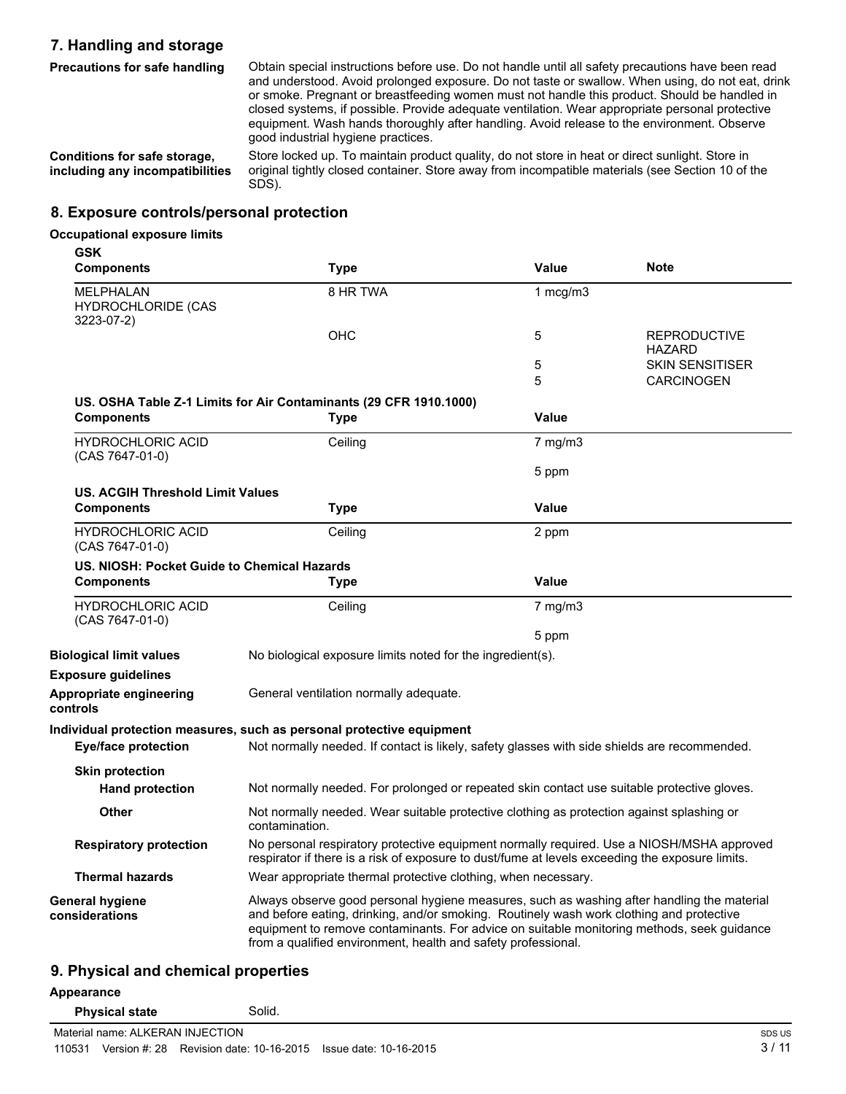## **7. Handling and storage**

**Precautions for safe handling**

Obtain special instructions before use. Do not handle until all safety precautions have been read and understood. Avoid prolonged exposure. Do not taste or swallow. When using, do not eat, drink or smoke. Pregnant or breastfeeding women must not handle this product. Should be handled in closed systems, if possible. Provide adequate ventilation. Wear appropriate personal protective equipment. Wash hands thoroughly after handling. Avoid release to the environment. Observe good industrial hygiene practices.

**Conditions for safe storage, including any incompatibilities**

Store locked up. To maintain product quality, do not store in heat or direct sunlight. Store in original tightly closed container. Store away from incompatible materials (see Section 10 of the SDS).

## **8. Exposure controls/personal protection**

#### **Occupational exposure limits**

| <b>GSK</b><br><b>Components</b>                      | Type                                                                                                                                                                                                                                                                                                                                                  | <b>Value</b>       | <b>Note</b>                   |
|------------------------------------------------------|-------------------------------------------------------------------------------------------------------------------------------------------------------------------------------------------------------------------------------------------------------------------------------------------------------------------------------------------------------|--------------------|-------------------------------|
| MELPHALAN<br><b>HYDROCHLORIDE (CAS</b><br>3223-07-2) | 8 HR TWA                                                                                                                                                                                                                                                                                                                                              | 1 $mcg/m3$         |                               |
|                                                      | ОНС                                                                                                                                                                                                                                                                                                                                                   | 5                  | <b>REPRODUCTIVE</b><br>HAZARD |
|                                                      |                                                                                                                                                                                                                                                                                                                                                       | 5                  | <b>SKIN SENSITISER</b>        |
|                                                      |                                                                                                                                                                                                                                                                                                                                                       | 5                  | <b>CARCINOGEN</b>             |
|                                                      | US. OSHA Table Z-1 Limits for Air Contaminants (29 CFR 1910.1000)                                                                                                                                                                                                                                                                                     |                    |                               |
| <b>Components</b>                                    | Type                                                                                                                                                                                                                                                                                                                                                  | Value              |                               |
| <b>HYDROCHLORIC ACID</b><br>(CAS 7647-01-0)          | Ceiling                                                                                                                                                                                                                                                                                                                                               | $7 \text{ mg/m}$ 3 |                               |
|                                                      |                                                                                                                                                                                                                                                                                                                                                       | 5 ppm              |                               |
| <b>US. ACGIH Threshold Limit Values</b>              |                                                                                                                                                                                                                                                                                                                                                       |                    |                               |
| <b>Components</b>                                    | Type                                                                                                                                                                                                                                                                                                                                                  | <b>Value</b>       |                               |
| <b>HYDROCHLORIC ACID</b><br>(CAS 7647-01-0)          | Ceiling                                                                                                                                                                                                                                                                                                                                               | 2 ppm              |                               |
| US. NIOSH: Pocket Guide to Chemical Hazards          |                                                                                                                                                                                                                                                                                                                                                       |                    |                               |
| <b>Components</b>                                    | Type                                                                                                                                                                                                                                                                                                                                                  | <b>Value</b>       |                               |
| <b>HYDROCHLORIC ACID</b><br>(CAS 7647-01-0)          | Ceiling                                                                                                                                                                                                                                                                                                                                               | $7$ mg/m $3$       |                               |
|                                                      |                                                                                                                                                                                                                                                                                                                                                       | 5 ppm              |                               |
| <b>Biological limit values</b>                       | No biological exposure limits noted for the ingredient(s).                                                                                                                                                                                                                                                                                            |                    |                               |
| <b>Exposure guidelines</b>                           |                                                                                                                                                                                                                                                                                                                                                       |                    |                               |
| Appropriate engineering<br>controls                  | General ventilation normally adequate.                                                                                                                                                                                                                                                                                                                |                    |                               |
| <b>Eye/face protection</b>                           | Individual protection measures, such as personal protective equipment<br>Not normally needed. If contact is likely, safety glasses with side shields are recommended.                                                                                                                                                                                 |                    |                               |
| <b>Skin protection</b>                               |                                                                                                                                                                                                                                                                                                                                                       |                    |                               |
| <b>Hand protection</b>                               | Not normally needed. For prolonged or repeated skin contact use suitable protective gloves.                                                                                                                                                                                                                                                           |                    |                               |
| <b>Other</b>                                         | Not normally needed. Wear suitable protective clothing as protection against splashing or<br>contamination.                                                                                                                                                                                                                                           |                    |                               |
| <b>Respiratory protection</b>                        | No personal respiratory protective equipment normally required. Use a NIOSH/MSHA approved<br>respirator if there is a risk of exposure to dust/fume at levels exceeding the exposure limits.                                                                                                                                                          |                    |                               |
| <b>Thermal hazards</b>                               | Wear appropriate thermal protective clothing, when necessary.                                                                                                                                                                                                                                                                                         |                    |                               |
| General hygiene<br>considerations                    | Always observe good personal hygiene measures, such as washing after handling the material<br>and before eating, drinking, and/or smoking. Routinely wash work clothing and protective<br>equipment to remove contaminants. For advice on suitable monitoring methods, seek guidance<br>from a qualified environment, health and safety professional. |                    |                               |

### **9. Physical and chemical properties**

#### **Appearance**

**controls**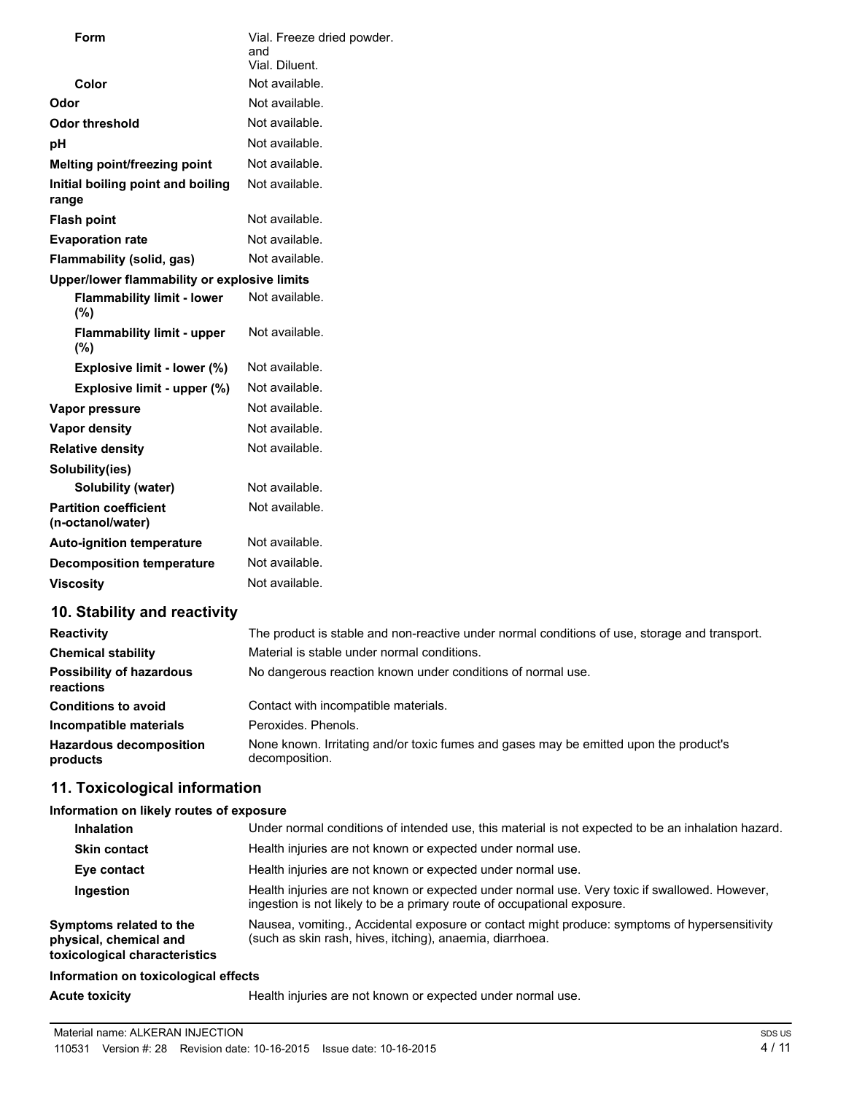| <b>Form</b>                                         | Vial. Freeze dried powder.<br>and<br>Vial. Diluent.                                           |
|-----------------------------------------------------|-----------------------------------------------------------------------------------------------|
| Color                                               | Not available.                                                                                |
| Odor                                                | Not available.                                                                                |
| <b>Odor threshold</b>                               | Not available.                                                                                |
| рH                                                  | Not available.                                                                                |
| Melting point/freezing point                        | Not available.                                                                                |
| Initial boiling point and boiling<br>range          | Not available.                                                                                |
| <b>Flash point</b>                                  | Not available.                                                                                |
| <b>Evaporation rate</b>                             | Not available.                                                                                |
| Flammability (solid, gas)                           | Not available.                                                                                |
| Upper/lower flammability or explosive limits        |                                                                                               |
| <b>Flammability limit - lower</b><br>(%)            | Not available.                                                                                |
| <b>Flammability limit - upper</b><br>(%)            | Not available.                                                                                |
| Explosive limit - lower (%)                         | Not available.                                                                                |
| Explosive limit - upper (%)                         | Not available.                                                                                |
| Vapor pressure                                      | Not available.                                                                                |
| <b>Vapor density</b>                                | Not available.                                                                                |
| <b>Relative density</b>                             | Not available.                                                                                |
| Solubility(ies)                                     |                                                                                               |
| Solubility (water)                                  | Not available.                                                                                |
| <b>Partition coefficient</b><br>(n-octanol/water)   | Not available.                                                                                |
| <b>Auto-ignition temperature</b>                    | Not available.                                                                                |
| <b>Decomposition temperature</b>                    | Not available.                                                                                |
| <b>Viscosity</b>                                    | Not available.                                                                                |
| 10. Stability and reactivity                        |                                                                                               |
| <b>Reactivity</b>                                   | The product is stable and non-reactive under normal conditions of use, storage and transport. |
| <b>Chemical stability</b>                           | Material is stable under normal conditions.                                                   |
| <b>Possibility of hazardous</b><br><b>reactions</b> | No dangerous reaction known under conditions of normal use.                                   |

| .                                          |                                                                                                         |
|--------------------------------------------|---------------------------------------------------------------------------------------------------------|
| <b>Conditions to avoid</b>                 | Contact with incompatible materials.                                                                    |
| Incompatible materials                     | Peroxides, Phenols,                                                                                     |
| <b>Hazardous decomposition</b><br>products | None known. Irritating and/or toxic fumes and gases may be emitted upon the product's<br>decomposition. |

## **11. Toxicological information**

## **Information on likely routes of exposure**

| <b>Inhalation</b>                                                                  | Under normal conditions of intended use, this material is not expected to be an inhalation hazard.                                                                       |
|------------------------------------------------------------------------------------|--------------------------------------------------------------------------------------------------------------------------------------------------------------------------|
| <b>Skin contact</b>                                                                | Health injuries are not known or expected under normal use.                                                                                                              |
| Eye contact                                                                        | Health injuries are not known or expected under normal use.                                                                                                              |
| Ingestion                                                                          | Health injuries are not known or expected under normal use. Very toxic if swallowed. However,<br>ingestion is not likely to be a primary route of occupational exposure. |
| Symptoms related to the<br>physical, chemical and<br>toxicological characteristics | Nausea, vomiting., Accidental exposure or contact might produce: symptoms of hypersensitivity<br>(such as skin rash, hives, itching), anaemia, diarrhoea.                |
| Information on toxicological effects                                               |                                                                                                                                                                          |
|                                                                                    |                                                                                                                                                                          |

Acute toxicity **Acute toxicity Health injuries are not known or expected under normal use.**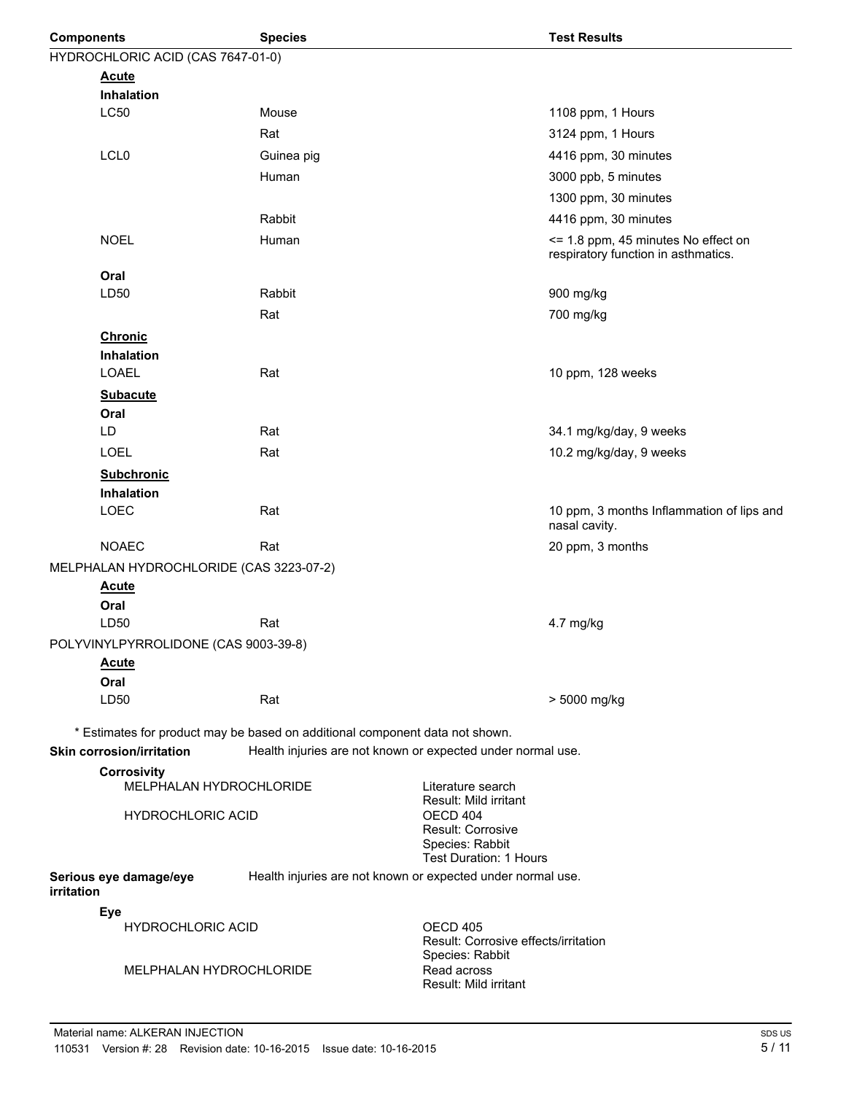| <b>Components</b>                                   | <b>Species</b>                                                               | <b>Test Results</b>                                                        |
|-----------------------------------------------------|------------------------------------------------------------------------------|----------------------------------------------------------------------------|
| HYDROCHLORIC ACID (CAS 7647-01-0)                   |                                                                              |                                                                            |
| <b>Acute</b>                                        |                                                                              |                                                                            |
| <b>Inhalation</b>                                   |                                                                              |                                                                            |
| <b>LC50</b>                                         | Mouse                                                                        | 1108 ppm, 1 Hours                                                          |
|                                                     | Rat                                                                          | 3124 ppm, 1 Hours                                                          |
| LCL <sub>0</sub>                                    | Guinea pig                                                                   | 4416 ppm, 30 minutes                                                       |
|                                                     | Human                                                                        | 3000 ppb, 5 minutes                                                        |
|                                                     |                                                                              | 1300 ppm, 30 minutes                                                       |
|                                                     | Rabbit                                                                       | 4416 ppm, 30 minutes                                                       |
| <b>NOEL</b>                                         | Human                                                                        | <= 1.8 ppm, 45 minutes No effect on<br>respiratory function in asthmatics. |
| Oral                                                |                                                                              |                                                                            |
| LD50                                                | Rabbit                                                                       | 900 mg/kg                                                                  |
|                                                     | Rat                                                                          | 700 mg/kg                                                                  |
| <b>Chronic</b>                                      |                                                                              |                                                                            |
| Inhalation                                          |                                                                              |                                                                            |
| LOAEL                                               | Rat                                                                          | 10 ppm, 128 weeks                                                          |
| <b>Subacute</b>                                     |                                                                              |                                                                            |
| Oral<br>LD                                          | Rat                                                                          | 34.1 mg/kg/day, 9 weeks                                                    |
|                                                     |                                                                              |                                                                            |
| <b>LOEL</b>                                         | Rat                                                                          | 10.2 mg/kg/day, 9 weeks                                                    |
| <b>Subchronic</b>                                   |                                                                              |                                                                            |
| Inhalation<br>LOEC                                  | Rat                                                                          | 10 ppm, 3 months Inflammation of lips and                                  |
|                                                     |                                                                              | nasal cavity.                                                              |
| <b>NOAEC</b>                                        | Rat                                                                          | 20 ppm, 3 months                                                           |
| MELPHALAN HYDROCHLORIDE (CAS 3223-07-2)             |                                                                              |                                                                            |
| <u>Acute</u>                                        |                                                                              |                                                                            |
| Oral<br>LD50                                        | Rat                                                                          | 4.7 mg/kg                                                                  |
| POLYVINYLPYRROLIDONE (CAS 9003-39-8)                |                                                                              |                                                                            |
| <b>Acute</b>                                        |                                                                              |                                                                            |
| Oral                                                |                                                                              |                                                                            |
| LD50                                                | Rat                                                                          | > 5000 mg/kg                                                               |
|                                                     |                                                                              |                                                                            |
| <b>Skin corrosion/irritation</b>                    | * Estimates for product may be based on additional component data not shown. | Health injuries are not known or expected under normal use.                |
| <b>Corrosivity</b>                                  |                                                                              | Literature search                                                          |
| MELPHALAN HYDROCHLORIDE<br><b>HYDROCHLORIC ACID</b> |                                                                              | Result: Mild irritant<br>OECD 404<br>Result: Corrosive                     |
|                                                     |                                                                              | Species: Rabbit<br><b>Test Duration: 1 Hours</b>                           |
| Serious eye damage/eye<br>irritation                |                                                                              | Health injuries are not known or expected under normal use.                |
| Eye                                                 |                                                                              |                                                                            |
| <b>HYDROCHLORIC ACID</b>                            |                                                                              | OECD 405<br>Result: Corrosive effects/irritation<br>Species: Rabbit        |
| MELPHALAN HYDROCHLORIDE                             |                                                                              | Read across<br>Result: Mild irritant                                       |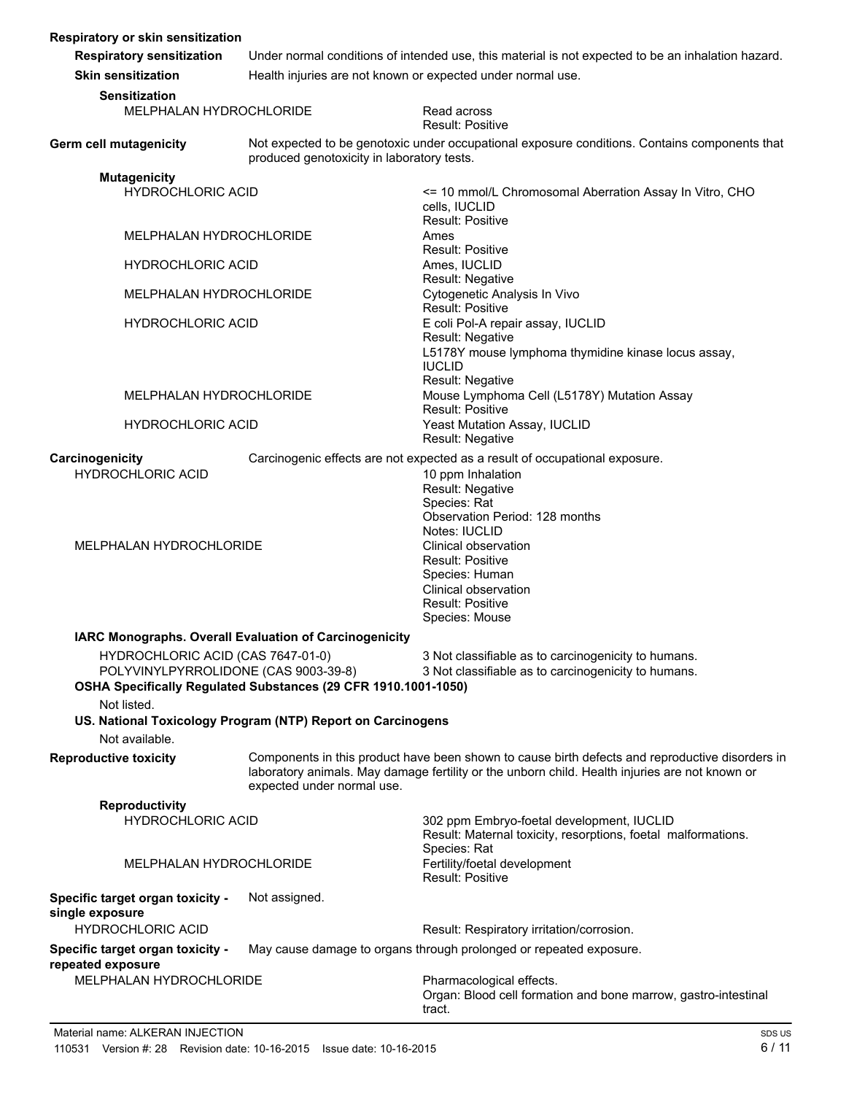| Respiratory or skin sensitization                                                                                                           |                                                                                                    |                                                                                                                            |
|---------------------------------------------------------------------------------------------------------------------------------------------|----------------------------------------------------------------------------------------------------|----------------------------------------------------------------------------------------------------------------------------|
| <b>Respiratory sensitization</b>                                                                                                            | Under normal conditions of intended use, this material is not expected to be an inhalation hazard. |                                                                                                                            |
| <b>Skin sensitization</b>                                                                                                                   | Health injuries are not known or expected under normal use.                                        |                                                                                                                            |
| <b>Sensitization</b>                                                                                                                        |                                                                                                    |                                                                                                                            |
| MELPHALAN HYDROCHLORIDE                                                                                                                     |                                                                                                    | Read across<br><b>Result: Positive</b>                                                                                     |
| Germ cell mutagenicity                                                                                                                      | produced genotoxicity in laboratory tests.                                                         | Not expected to be genotoxic under occupational exposure conditions. Contains components that                              |
| <b>Mutagenicity</b>                                                                                                                         |                                                                                                    |                                                                                                                            |
| <b>HYDROCHLORIC ACID</b>                                                                                                                    |                                                                                                    | <= 10 mmol/L Chromosomal Aberration Assay In Vitro, CHO<br>cells, IUCLID<br>Result: Positive                               |
| MELPHALAN HYDROCHLORIDE                                                                                                                     |                                                                                                    | Ames<br><b>Result: Positive</b>                                                                                            |
| <b>HYDROCHLORIC ACID</b>                                                                                                                    |                                                                                                    | Ames, IUCLID                                                                                                               |
| MELPHALAN HYDROCHLORIDE                                                                                                                     |                                                                                                    | Result: Negative<br>Cytogenetic Analysis In Vivo<br><b>Result: Positive</b>                                                |
| <b>HYDROCHLORIC ACID</b>                                                                                                                    |                                                                                                    | E coli Pol-A repair assay, IUCLID<br>Result: Negative                                                                      |
|                                                                                                                                             |                                                                                                    | L5178Y mouse lymphoma thymidine kinase locus assay,<br><b>IUCLID</b><br>Result: Negative                                   |
| MELPHALAN HYDROCHLORIDE                                                                                                                     |                                                                                                    | Mouse Lymphoma Cell (L5178Y) Mutation Assay<br><b>Result: Positive</b>                                                     |
| <b>HYDROCHLORIC ACID</b>                                                                                                                    |                                                                                                    | Yeast Mutation Assay, IUCLID<br>Result: Negative                                                                           |
| Carcinogenicity                                                                                                                             |                                                                                                    | Carcinogenic effects are not expected as a result of occupational exposure.                                                |
| <b>HYDROCHLORIC ACID</b>                                                                                                                    |                                                                                                    | 10 ppm Inhalation                                                                                                          |
|                                                                                                                                             |                                                                                                    | Result: Negative<br>Species: Rat                                                                                           |
|                                                                                                                                             |                                                                                                    | Observation Period: 128 months                                                                                             |
|                                                                                                                                             |                                                                                                    | Notes: IUCLID                                                                                                              |
| MELPHALAN HYDROCHLORIDE                                                                                                                     |                                                                                                    | Clinical observation<br><b>Result: Positive</b>                                                                            |
|                                                                                                                                             |                                                                                                    | Species: Human                                                                                                             |
|                                                                                                                                             |                                                                                                    | Clinical observation                                                                                                       |
|                                                                                                                                             |                                                                                                    | <b>Result: Positive</b><br>Species: Mouse                                                                                  |
|                                                                                                                                             |                                                                                                    |                                                                                                                            |
|                                                                                                                                             | IARC Monographs. Overall Evaluation of Carcinogenicity                                             | 3 Not classifiable as to carcinogenicity to humans.                                                                        |
| HYDROCHLORIC ACID (CAS 7647-01-0)<br>POLYVINYLPYRROLIDONE (CAS 9003-39-8)<br>OSHA Specifically Regulated Substances (29 CFR 1910.1001-1050) |                                                                                                    | 3 Not classifiable as to carcinogenicity to humans.                                                                        |
| Not listed.                                                                                                                                 |                                                                                                    |                                                                                                                            |
| Not available.                                                                                                                              | US. National Toxicology Program (NTP) Report on Carcinogens                                        |                                                                                                                            |
| <b>Reproductive toxicity</b>                                                                                                                |                                                                                                    | Components in this product have been shown to cause birth defects and reproductive disorders in                            |
|                                                                                                                                             | expected under normal use.                                                                         | laboratory animals. May damage fertility or the unborn child. Health injuries are not known or                             |
| <b>Reproductivity</b>                                                                                                                       |                                                                                                    |                                                                                                                            |
| <b>HYDROCHLORIC ACID</b>                                                                                                                    |                                                                                                    | 302 ppm Embryo-foetal development, IUCLID<br>Result: Maternal toxicity, resorptions, foetal malformations.<br>Species: Rat |
| MELPHALAN HYDROCHLORIDE                                                                                                                     |                                                                                                    | Fertility/foetal development<br>Result: Positive                                                                           |
| Specific target organ toxicity -<br>single exposure                                                                                         | Not assigned.                                                                                      |                                                                                                                            |
| <b>HYDROCHLORIC ACID</b>                                                                                                                    |                                                                                                    | Result: Respiratory irritation/corrosion.                                                                                  |
| Specific target organ toxicity -<br>repeated exposure                                                                                       |                                                                                                    | May cause damage to organs through prolonged or repeated exposure.                                                         |
| MELPHALAN HYDROCHLORIDE                                                                                                                     |                                                                                                    | Pharmacological effects.<br>Organ: Blood cell formation and bone marrow, gastro-intestinal<br>tract.                       |
|                                                                                                                                             |                                                                                                    |                                                                                                                            |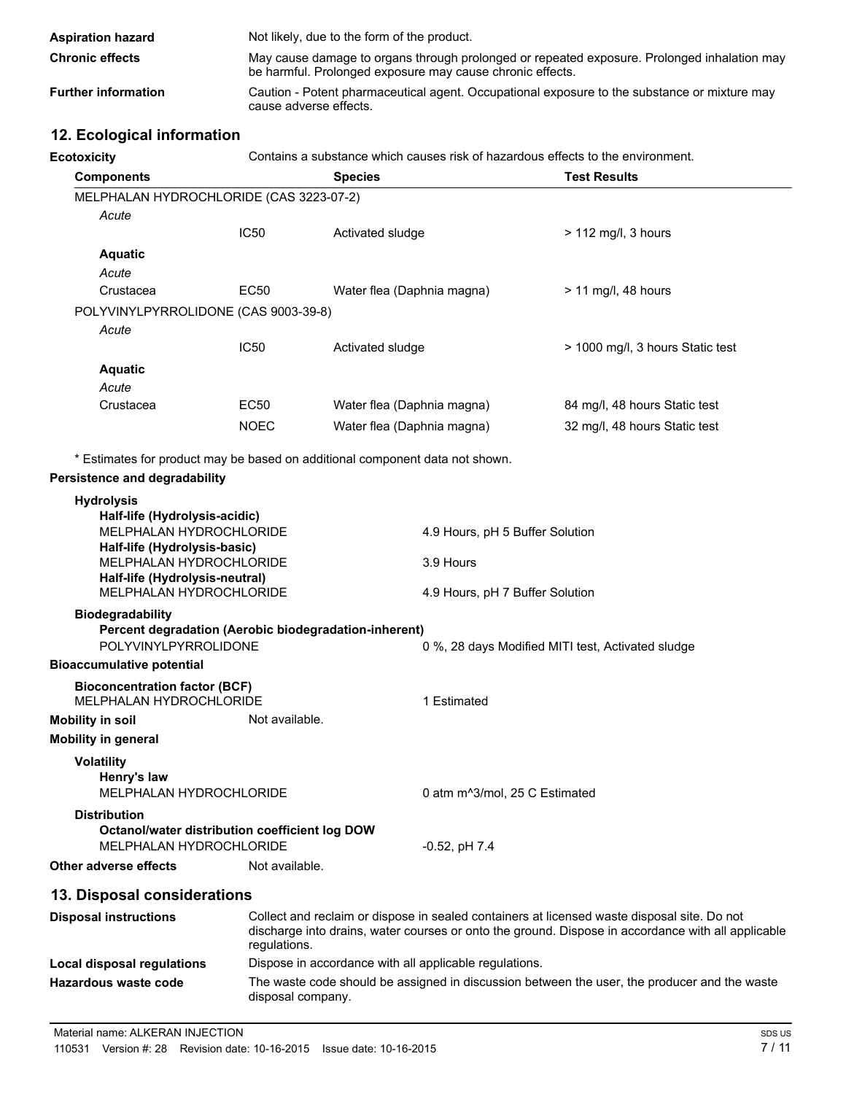| <b>Aspiration hazard</b>   | Not likely, due to the form of the product.                                                                                                              |
|----------------------------|----------------------------------------------------------------------------------------------------------------------------------------------------------|
| <b>Chronic effects</b>     | May cause damage to organs through prolonged or repeated exposure. Prolonged inhalation may<br>be harmful. Prolonged exposure may cause chronic effects. |
| <b>Further information</b> | Caution - Potent pharmaceutical agent. Occupational exposure to the substance or mixture may<br>cause adverse effects.                                   |

## **12. Ecological information**

**Ecotoxicity** Contains a substance which causes risk of hazardous effects to the environment.

| <b>Components</b>                                                                                                                                                                                                                      |                                                                               | <b>Species</b>             |                                                                                 | <b>Test Results</b>                                                                         |  |  |
|----------------------------------------------------------------------------------------------------------------------------------------------------------------------------------------------------------------------------------------|-------------------------------------------------------------------------------|----------------------------|---------------------------------------------------------------------------------|---------------------------------------------------------------------------------------------|--|--|
| MELPHALAN HYDROCHLORIDE (CAS 3223-07-2)                                                                                                                                                                                                |                                                                               |                            |                                                                                 |                                                                                             |  |  |
| Acute                                                                                                                                                                                                                                  |                                                                               |                            |                                                                                 |                                                                                             |  |  |
|                                                                                                                                                                                                                                        | <b>IC50</b>                                                                   | Activated sludge           |                                                                                 | $> 112$ mg/l, 3 hours                                                                       |  |  |
| <b>Aquatic</b>                                                                                                                                                                                                                         |                                                                               |                            |                                                                                 |                                                                                             |  |  |
| Acute                                                                                                                                                                                                                                  |                                                                               |                            |                                                                                 |                                                                                             |  |  |
| Crustacea                                                                                                                                                                                                                              | EC50                                                                          | Water flea (Daphnia magna) |                                                                                 | > 11 mg/l, 48 hours                                                                         |  |  |
| POLYVINYLPYRROLIDONE (CAS 9003-39-8)                                                                                                                                                                                                   |                                                                               |                            |                                                                                 |                                                                                             |  |  |
| Acute                                                                                                                                                                                                                                  |                                                                               |                            |                                                                                 |                                                                                             |  |  |
|                                                                                                                                                                                                                                        | <b>IC50</b>                                                                   | Activated sludge           |                                                                                 | > 1000 mg/l, 3 hours Static test                                                            |  |  |
| <b>Aquatic</b>                                                                                                                                                                                                                         |                                                                               |                            |                                                                                 |                                                                                             |  |  |
| Acute                                                                                                                                                                                                                                  |                                                                               |                            |                                                                                 |                                                                                             |  |  |
| Crustacea                                                                                                                                                                                                                              | EC50                                                                          | Water flea (Daphnia magna) |                                                                                 | 84 mg/l, 48 hours Static test                                                               |  |  |
|                                                                                                                                                                                                                                        | <b>NOEC</b>                                                                   | Water flea (Daphnia magna) |                                                                                 | 32 mg/l, 48 hours Static test                                                               |  |  |
| Persistence and degradability<br><b>Hydrolysis</b><br>Half-life (Hydrolysis-acidic)<br>MELPHALAN HYDROCHLORIDE<br>Half-life (Hydrolysis-basic)<br>MELPHALAN HYDROCHLORIDE<br>Half-life (Hydrolysis-neutral)<br>MELPHALAN HYDROCHLORIDE |                                                                               |                            | 4.9 Hours, pH 5 Buffer Solution<br>3.9 Hours<br>4.9 Hours, pH 7 Buffer Solution |                                                                                             |  |  |
| <b>Biodegradability</b>                                                                                                                                                                                                                | Percent degradation (Aerobic biodegradation-inherent)<br>POLYVINYLPYRROLIDONE |                            |                                                                                 | 0 %, 28 days Modified MITI test, Activated sludge                                           |  |  |
| <b>Bioaccumulative potential</b>                                                                                                                                                                                                       |                                                                               |                            |                                                                                 |                                                                                             |  |  |
| <b>Bioconcentration factor (BCF)</b><br><b>MELPHALAN HYDROCHLORIDE</b><br><b>Mobility in soil</b>                                                                                                                                      | Not available.                                                                |                            | 1 Estimated                                                                     |                                                                                             |  |  |
| <b>Mobility in general</b>                                                                                                                                                                                                             |                                                                               |                            |                                                                                 |                                                                                             |  |  |
| <b>Volatility</b><br>Henry's law<br>MELPHALAN HYDROCHLORIDE                                                                                                                                                                            |                                                                               |                            | 0 atm m^3/mol, 25 C Estimated                                                   |                                                                                             |  |  |
| <b>Distribution</b><br>Octanol/water distribution coefficient log DOW<br>MELPHALAN HYDROCHLORIDE                                                                                                                                       |                                                                               |                            | $-0.52$ , pH $7.4$                                                              |                                                                                             |  |  |
| Other adverse effects                                                                                                                                                                                                                  | Not available.                                                                |                            |                                                                                 |                                                                                             |  |  |
| 13. Disposal considerations                                                                                                                                                                                                            |                                                                               |                            |                                                                                 |                                                                                             |  |  |
| <b>Disposal instructions</b>                                                                                                                                                                                                           |                                                                               |                            |                                                                                 | Collect and reclaim or dispose in sealed containers at licensed waste disposal site. Do not |  |  |
|                                                                                                                                                                                                                                        |                                                                               |                            |                                                                                 |                                                                                             |  |  |

| PIODOOGI 1110GI GOGIOIIO   | <u>oonool aha roolami or alopooo in oodiod ooritamoro al hooriood maolo alopoodi olto. Do riol</u><br>discharge into drains, water courses or onto the ground. Dispose in accordance with all applicable<br>regulations. |
|----------------------------|--------------------------------------------------------------------------------------------------------------------------------------------------------------------------------------------------------------------------|
| Local disposal regulations | Dispose in accordance with all applicable regulations.                                                                                                                                                                   |
| Hazardous waste code       | The waste code should be assigned in discussion between the user, the producer and the waste<br>disposal company.                                                                                                        |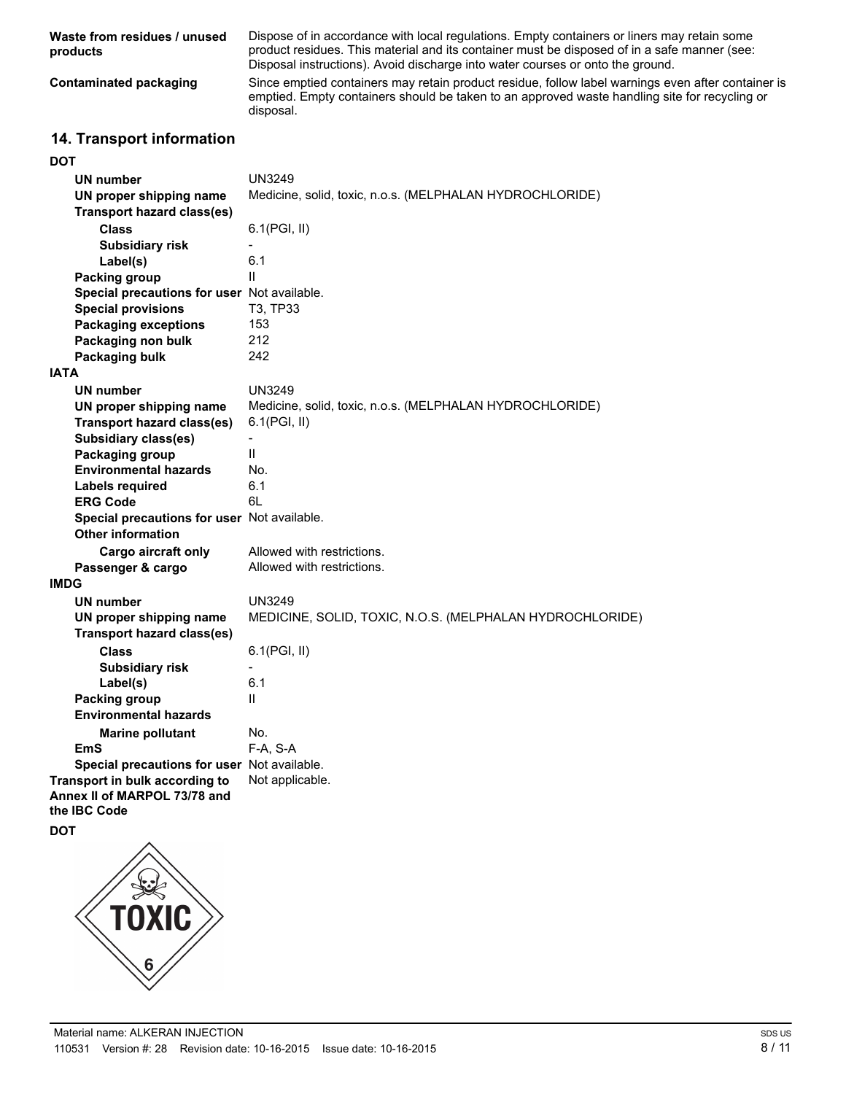| Waste from residues / unused<br>products | Dispose of in accordance with local regulations. Empty containers or liners may retain some<br>product residues. This material and its container must be disposed of in a safe manner (see:<br>Disposal instructions). Avoid discharge into water courses or onto the ground. |
|------------------------------------------|-------------------------------------------------------------------------------------------------------------------------------------------------------------------------------------------------------------------------------------------------------------------------------|
| Contaminated packaging                   | Since emptied containers may retain product residue, follow label warnings even after container is<br>emptied. Empty containers should be taken to an approved waste handling site for recycling or<br>disposal.                                                              |

## **14. Transport information**

| <b>DOT</b>                                  |                                                          |
|---------------------------------------------|----------------------------------------------------------|
| UN number                                   | <b>UN3249</b>                                            |
| UN proper shipping name                     | Medicine, solid, toxic, n.o.s. (MELPHALAN HYDROCHLORIDE) |
| <b>Transport hazard class(es)</b>           |                                                          |
| <b>Class</b>                                | 6.1(PGI, II)                                             |
| <b>Subsidiary risk</b>                      | $\overline{\phantom{a}}$                                 |
| Label(s)                                    | 6.1                                                      |
| <b>Packing group</b>                        | $\mathbf{H}$                                             |
| Special precautions for user Not available. |                                                          |
| <b>Special provisions</b>                   | T3, TP33                                                 |
| <b>Packaging exceptions</b>                 | 153                                                      |
| Packaging non bulk                          | 212                                                      |
| Packaging bulk                              | 242                                                      |
| <b>IATA</b>                                 |                                                          |
|                                             |                                                          |
| <b>UN number</b>                            | <b>UN3249</b>                                            |
| UN proper shipping name                     | Medicine, solid, toxic, n.o.s. (MELPHALAN HYDROCHLORIDE) |
| <b>Transport hazard class(es)</b>           | 6.1(PGI, II)                                             |
| <b>Subsidiary class(es)</b>                 |                                                          |
| Packaging group                             | $\mathbf{H}$                                             |
| <b>Environmental hazards</b>                | No.                                                      |
| Labels required                             | 6.1                                                      |
| <b>ERG Code</b>                             | 6L                                                       |
| Special precautions for user Not available. |                                                          |
| <b>Other information</b>                    |                                                          |
| <b>Cargo aircraft only</b>                  | Allowed with restrictions.                               |
| Passenger & cargo                           | Allowed with restrictions.                               |
| <b>IMDG</b>                                 |                                                          |
| <b>UN number</b>                            | <b>UN3249</b>                                            |
| UN proper shipping name                     | MEDICINE, SOLID, TOXIC, N.O.S. (MELPHALAN HYDROCHLORIDE) |
| <b>Transport hazard class(es)</b>           |                                                          |
| <b>Class</b>                                | 6.1(PGI, II)                                             |
| <b>Subsidiary risk</b>                      | $\overline{a}$                                           |
| Label(s)                                    | 6.1                                                      |
| <b>Packing group</b>                        | $\mathbf{H}$                                             |
| <b>Environmental hazards</b>                |                                                          |
| <b>Marine pollutant</b>                     | No.                                                      |
| EmS                                         | F-A, S-A                                                 |
| Special precautions for user Not available. |                                                          |
| Transport in bulk according to              | Not applicable.                                          |
| Annex II of MARPOL 73/78 and                |                                                          |
| the IBC Code                                |                                                          |
| <b>DOT</b>                                  |                                                          |
| TOXIC<br>6                                  |                                                          |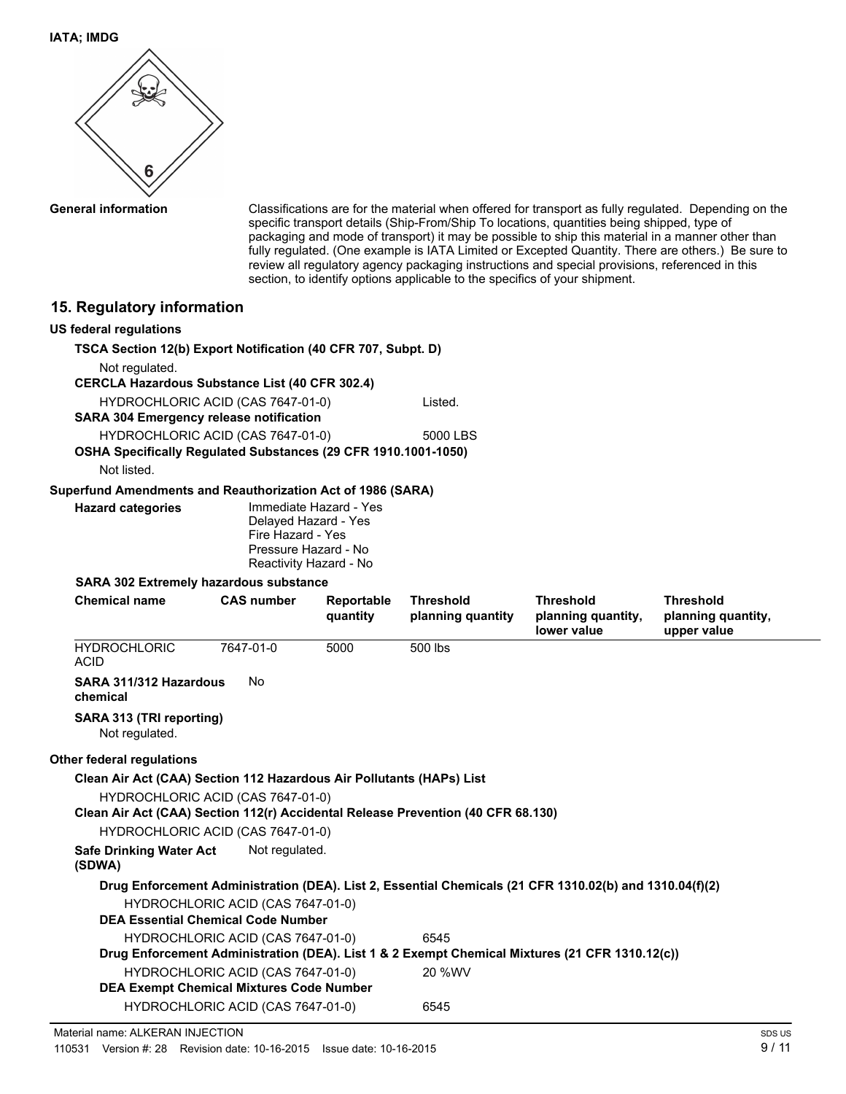

**General information**

Classifications are for the material when offered for transport as fully regulated. Depending on the specific transport details (Ship-From/Ship To locations, quantities being shipped, type of packaging and mode of transport) it may be possible to ship this material in a manner other than fully regulated. (One example is IATA Limited or Excepted Quantity. There are others.) Be sure to review all regulatory agency packaging instructions and special provisions, referenced in this section, to identify options applicable to the specifics of your shipment.

## **15. Regulatory information**

| <b>10. Regulatory information</b>                                                       |                                                |                        |                   |                                                                                                         |                                   |
|-----------------------------------------------------------------------------------------|------------------------------------------------|------------------------|-------------------|---------------------------------------------------------------------------------------------------------|-----------------------------------|
| <b>US federal regulations</b>                                                           |                                                |                        |                   |                                                                                                         |                                   |
| TSCA Section 12(b) Export Notification (40 CFR 707, Subpt. D)                           |                                                |                        |                   |                                                                                                         |                                   |
| Not regulated.                                                                          |                                                |                        |                   |                                                                                                         |                                   |
| <b>CERCLA Hazardous Substance List (40 CFR 302.4)</b>                                   |                                                |                        |                   |                                                                                                         |                                   |
| HYDROCHLORIC ACID (CAS 7647-01-0)                                                       |                                                |                        | Listed.           |                                                                                                         |                                   |
| <b>SARA 304 Emergency release notification</b>                                          |                                                |                        |                   |                                                                                                         |                                   |
|                                                                                         | HYDROCHLORIC ACID (CAS 7647-01-0)              |                        | 5000 LBS          |                                                                                                         |                                   |
| OSHA Specifically Regulated Substances (29 CFR 1910.1001-1050)<br>Not listed.           |                                                |                        |                   |                                                                                                         |                                   |
|                                                                                         |                                                |                        |                   |                                                                                                         |                                   |
| Superfund Amendments and Reauthorization Act of 1986 (SARA)<br><b>Hazard categories</b> |                                                | Immediate Hazard - Yes |                   |                                                                                                         |                                   |
|                                                                                         | Delayed Hazard - Yes                           |                        |                   |                                                                                                         |                                   |
|                                                                                         | Fire Hazard - Yes                              |                        |                   |                                                                                                         |                                   |
|                                                                                         | Pressure Hazard - No<br>Reactivity Hazard - No |                        |                   |                                                                                                         |                                   |
| <b>SARA 302 Extremely hazardous substance</b>                                           |                                                |                        |                   |                                                                                                         |                                   |
| <b>Chemical name</b>                                                                    | <b>CAS number</b>                              | Reportable             | <b>Threshold</b>  | <b>Threshold</b>                                                                                        | <b>Threshold</b>                  |
|                                                                                         |                                                | quantity               | planning quantity | planning quantity,<br>lower value                                                                       | planning quantity,<br>upper value |
| <b>HYDROCHLORIC</b><br><b>ACID</b>                                                      | 7647-01-0                                      | 5000                   | 500 lbs           |                                                                                                         |                                   |
| SARA 311/312 Hazardous<br>chemical                                                      | No                                             |                        |                   |                                                                                                         |                                   |
| SARA 313 (TRI reporting)<br>Not regulated.                                              |                                                |                        |                   |                                                                                                         |                                   |
| Other federal regulations                                                               |                                                |                        |                   |                                                                                                         |                                   |
| Clean Air Act (CAA) Section 112 Hazardous Air Pollutants (HAPs) List                    |                                                |                        |                   |                                                                                                         |                                   |
|                                                                                         | HYDROCHLORIC ACID (CAS 7647-01-0)              |                        |                   |                                                                                                         |                                   |
| Clean Air Act (CAA) Section 112(r) Accidental Release Prevention (40 CFR 68.130)        |                                                |                        |                   |                                                                                                         |                                   |
|                                                                                         | HYDROCHLORIC ACID (CAS 7647-01-0)              |                        |                   |                                                                                                         |                                   |
| <b>Safe Drinking Water Act</b><br>(SDWA)                                                | Not regulated.                                 |                        |                   |                                                                                                         |                                   |
|                                                                                         |                                                |                        |                   | Drug Enforcement Administration (DEA). List 2, Essential Chemicals (21 CFR 1310.02(b) and 1310.04(f)(2) |                                   |
|                                                                                         | HYDROCHLORIC ACID (CAS 7647-01-0)              |                        |                   |                                                                                                         |                                   |
| <b>DEA Essential Chemical Code Number</b>                                               |                                                |                        |                   |                                                                                                         |                                   |
|                                                                                         | HYDROCHLORIC ACID (CAS 7647-01-0)              |                        | 6545              |                                                                                                         |                                   |
|                                                                                         |                                                |                        |                   | Drug Enforcement Administration (DEA). List 1 & 2 Exempt Chemical Mixtures (21 CFR 1310.12(c))          |                                   |
|                                                                                         | HYDROCHLORIC ACID (CAS 7647-01-0)              |                        | 20 %WV            |                                                                                                         |                                   |
| <b>DEA Exempt Chemical Mixtures Code Number</b>                                         |                                                |                        |                   |                                                                                                         |                                   |
|                                                                                         | HYDROCHLORIC ACID (CAS 7647-01-0)              |                        | 6545              |                                                                                                         |                                   |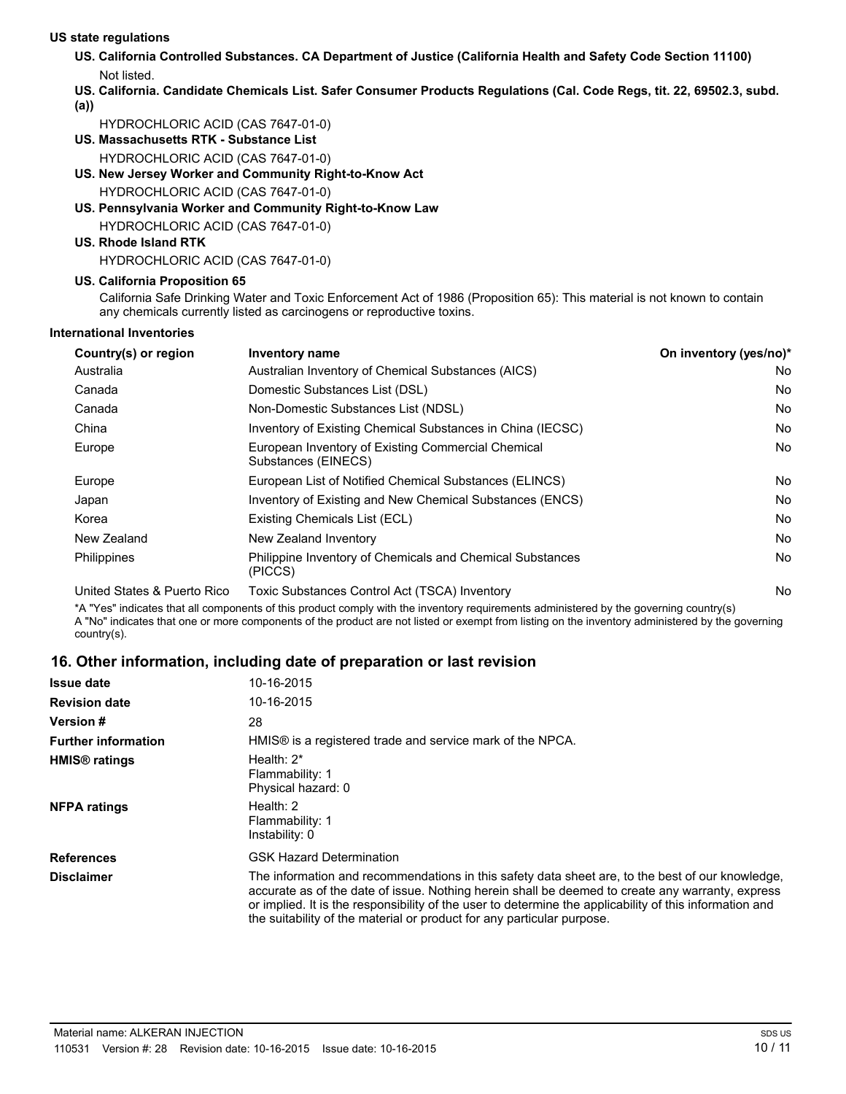#### **US state regulations**

- **US. California Controlled Substances. CA Department of Justice (California Health and Safety Code Section 11100)** Not listed.
- **US. California. Candidate Chemicals List. Safer Consumer Products Regulations (Cal. Code Regs, tit. 22, 69502.3, subd. (a))**

HYDROCHLORIC ACID (CAS 7647-01-0)

- **US. Massachusetts RTK Substance List** HYDROCHLORIC ACID (CAS 7647-01-0)
- **US. New Jersey Worker and Community Right-to-Know Act**

HYDROCHLORIC ACID (CAS 7647-01-0)

- **US. Pennsylvania Worker and Community Right-to-Know Law** HYDROCHLORIC ACID (CAS 7647-01-0)
- **US. Rhode Island RTK**

HYDROCHLORIC ACID (CAS 7647-01-0)

#### **US. California Proposition 65**

California Safe Drinking Water and Toxic Enforcement Act of 1986 (Proposition 65): This material is not known to contain any chemicals currently listed as carcinogens or reproductive toxins.

#### **International Inventories**

| Country(s) or region        | Inventory name                                                              | On inventory (yes/no)* |  |  |
|-----------------------------|-----------------------------------------------------------------------------|------------------------|--|--|
| Australia                   | Australian Inventory of Chemical Substances (AICS)                          | No                     |  |  |
| Canada                      | Domestic Substances List (DSL)                                              | No                     |  |  |
| Canada                      | Non-Domestic Substances List (NDSL)                                         |                        |  |  |
| China                       | Inventory of Existing Chemical Substances in China (IECSC)                  | No                     |  |  |
| Europe                      | European Inventory of Existing Commercial Chemical<br>Substances (EINECS)   | No                     |  |  |
| Europe                      | European List of Notified Chemical Substances (ELINCS)                      | No                     |  |  |
| Japan                       | Inventory of Existing and New Chemical Substances (ENCS)                    | No                     |  |  |
| Korea                       | Existing Chemicals List (ECL)                                               | No                     |  |  |
| New Zealand                 | New Zealand Inventory                                                       | No                     |  |  |
| Philippines                 | <b>Philippine Inventory of Chemicals and Chemical Substances</b><br>(PICCS) | No                     |  |  |
| United States & Puerto Rico | Toxic Substances Control Act (TSCA) Inventory                               | No                     |  |  |

\*A "Yes" indicates that all components of this product comply with the inventory requirements administered by the governing country(s) A "No" indicates that one or more components of the product are not listed or exempt from listing on the inventory administered by the governing country(s).

### **16. Other information, including date of preparation or last revision**

| <b>Issue date</b>               | 10-16-2015                                                                                                                                                                                                                                                                                                                                                                                |
|---------------------------------|-------------------------------------------------------------------------------------------------------------------------------------------------------------------------------------------------------------------------------------------------------------------------------------------------------------------------------------------------------------------------------------------|
| <b>Revision date</b>            | 10-16-2015                                                                                                                                                                                                                                                                                                                                                                                |
| <b>Version #</b>                | 28                                                                                                                                                                                                                                                                                                                                                                                        |
| <b>Further information</b>      | HMIS® is a registered trade and service mark of the NPCA.                                                                                                                                                                                                                                                                                                                                 |
| <b>HMIS<sup>®</sup></b> ratings | Health: $2^*$<br>Flammability: 1<br>Physical hazard: 0                                                                                                                                                                                                                                                                                                                                    |
| <b>NFPA ratings</b>             | Health: $2$<br>Flammability: 1<br>Instability: 0                                                                                                                                                                                                                                                                                                                                          |
| <b>References</b>               | <b>GSK Hazard Determination</b>                                                                                                                                                                                                                                                                                                                                                           |
| <b>Disclaimer</b>               | The information and recommendations in this safety data sheet are, to the best of our knowledge,<br>accurate as of the date of issue. Nothing herein shall be deemed to create any warranty, express<br>or implied. It is the responsibility of the user to determine the applicability of this information and<br>the suitability of the material or product for any particular purpose. |